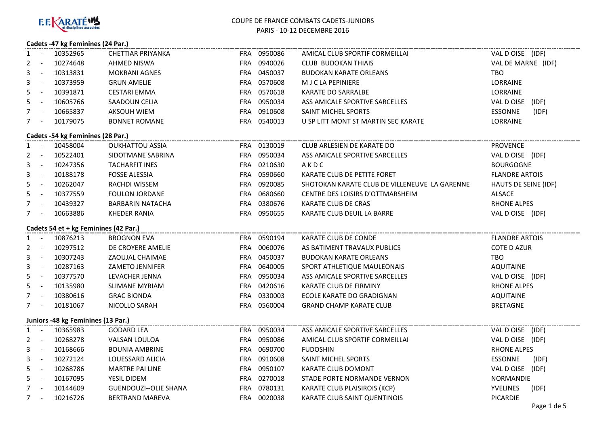

# **Cadets -47 kg Feminines (24 Par.)**

| 1                                   | $\sim$ $-$              | 10352965                              | <b>CHETTIAR PRIYANKA</b>     |  | FRA 0950086 | AMICAL CLUB SPORTIF CORMEILLAI                | VAL D OISE (IDF)        |  |  |
|-------------------------------------|-------------------------|---------------------------------------|------------------------------|--|-------------|-----------------------------------------------|-------------------------|--|--|
| 2                                   | $\sim$ $\sim$           | 10274648                              | AHMED NISWA                  |  | FRA 0940026 | CLUB BUDOKAN THIAIS                           | VAL DE MARNE (IDF)      |  |  |
| 3                                   | $\sim$ $-$              | 10313831                              | <b>MOKRANI AGNES</b>         |  | FRA 0450037 | <b>BUDOKAN KARATE ORLEANS</b>                 | TBO.                    |  |  |
| 3                                   | $\sim$ $-$              | 10373959                              | <b>GRUN AMELIE</b>           |  | FRA 0570608 | M J C LA PEPINIERE                            | LORRAINE                |  |  |
| 5.                                  | $\sim$ $\pm$            | 10391871                              | <b>CESTARI EMMA</b>          |  | FRA 0570618 | KARATE DO SARRALBE                            | LORRAINE                |  |  |
| 5.                                  | $\sim$ $\sim$           | 10605766                              | SAADOUN CELIA                |  | FRA 0950034 | ASS AMICALE SPORTIVE SARCELLES                | VAL DOISE (IDF)         |  |  |
| $7 -$                               |                         | 10665837                              | <b>AKSOUH WIEM</b>           |  | FRA 0910608 | SAINT MICHEL SPORTS                           | <b>ESSONNE</b><br>(IDF) |  |  |
| $7 -$                               |                         | 10179075                              | <b>BONNET ROMANE</b>         |  | FRA 0540013 | U SP LITT MONT ST MARTIN SEC KARATE           | <b>LORRAINE</b>         |  |  |
| Cadets -54 kg Feminines (28 Par.)   |                         |                                       |                              |  |             |                                               |                         |  |  |
|                                     |                         | 1 - 10458004                          | <b>OUKHATTOU ASSIA</b>       |  | FRA 0130019 | CLUB ARLESIEN DE KARATE DO                    | <b>PROVENCE</b>         |  |  |
|                                     | $2 - 1$                 | 10522401                              | SIDOTMANE SABRINA            |  | FRA 0950034 | ASS AMICALE SPORTIVE SARCELLES                | VAL DOISE (IDF)         |  |  |
| 3                                   | $\sim$ $-$              | 10247356                              | <b>TACHARFIT INES</b>        |  | FRA 0210630 | AKDC                                          | <b>BOURGOGNE</b>        |  |  |
| 3                                   | $\sim 10^{-11}$         | 10188178                              | <b>FOSSE ALESSIA</b>         |  | FRA 0590660 | KARATE CLUB DE PETITE FORET                   | <b>FLANDRE ARTOIS</b>   |  |  |
| 5.                                  | $\sim 100$ km s $^{-1}$ | 10262047                              | RACHDI WISSEM                |  | FRA 0920085 | SHOTOKAN KARATE CLUB DE VILLENEUVE LA GARENNE | HAUTS DE SEINE (IDF)    |  |  |
| 5                                   | $\sim 100$ km s $^{-1}$ | 10377559                              | <b>FOULON JORDANE</b>        |  | FRA 0680660 | CENTRE DES LOISIRS D'OTTMARSHEIM              | ALSACE                  |  |  |
|                                     | $7 -$                   | 10439327                              | <b>BARBARIN NATACHA</b>      |  | FRA 0380676 | KARATE CLUB DE CRAS                           | <b>RHONE ALPES</b>      |  |  |
| $7 -$                               |                         | 10663886                              | <b>KHEDER RANIA</b>          |  | FRA 0950655 | KARATE CLUB DEUIL LA BARRE                    | VAL DOISE (IDF)         |  |  |
|                                     |                         | Cadets 54 et + kg Feminines (42 Par.) |                              |  |             |                                               |                         |  |  |
|                                     |                         | 1 - 10876213                          | <b>BROGNON EVA</b>           |  | FRA 0590194 | KARATE CLUB DE CONDE                          | <b>FLANDRE ARTOIS</b>   |  |  |
|                                     |                         | 2 - 10297512                          | DE CROYERE AMELIE            |  | FRA 0060076 | AS BATIMENT TRAVAUX PUBLICS                   | <b>COTE D AZUR</b>      |  |  |
|                                     |                         | 3 - 10307243                          | ZAOUJAL CHAIMAE              |  | FRA 0450037 | <b>BUDOKAN KARATE ORLEANS</b>                 | TBO                     |  |  |
|                                     | $3 - 1$                 | 10287163                              | <b>ZAMETO JENNIFER</b>       |  | FRA 0640005 | SPORT ATHLETIQUE MAULEONAIS                   | <b>AQUITAINE</b>        |  |  |
|                                     | $5 - 1$                 | 10377570                              | LEVACHER JENNA               |  | FRA 0950034 | ASS AMICALE SPORTIVE SARCELLES                | VAL D OISE (IDF)        |  |  |
|                                     |                         | 5 - 10135980                          | SLIMANE MYRIAM               |  | FRA 0420616 | KARATE CLUB DE FIRMINY                        | <b>RHONE ALPES</b>      |  |  |
|                                     | $7 - 1$                 | 10380616                              | <b>GRAC BIONDA</b>           |  | FRA 0330003 | ECOLE KARATE DO GRADIGNAN                     | <b>AQUITAINE</b>        |  |  |
| $7 -$                               |                         | 10181067                              | NICOLLO SARAH                |  | FRA 0560004 | <b>GRAND CHAMP KARATE CLUB</b>                | <b>BRETAGNE</b>         |  |  |
| Juniors - 48 kg Feminines (13 Par.) |                         |                                       |                              |  |             |                                               |                         |  |  |
| $1 -$                               |                         | 10365983                              | <b>GODARD LEA</b>            |  | FRA 0950034 | ASS AMICALE SPORTIVE SARCELLES                | VAL DOISE (IDF)         |  |  |
| $2 -$                               |                         | 10268278                              | VALSAN LOULOA                |  | FRA 0950086 | AMICAL CLUB SPORTIF CORMEILLAI                | VAL DOISE (IDF)         |  |  |
| 3                                   | $\sim 10$               | 10168666                              | <b>BOUNIA AMBRINE</b>        |  | FRA 0690700 | <b>FUDOSHIN</b>                               | <b>RHONE ALPES</b>      |  |  |
| 3                                   | $\sim$ $-$              | 10272124                              | LOUESSARD ALICIA             |  | FRA 0910608 | SAINT MICHEL SPORTS                           | ESSONNE<br>(IDF)        |  |  |
| 5                                   | $\sim 100$              | 10268786                              | <b>MARTRE PAI LINE</b>       |  | FRA 0950107 | KARATE CLUB DOMONT                            | VAL DOISE (IDF)         |  |  |
| $5 -$                               |                         | 10167095                              | YESIL DIDEM                  |  | FRA 0270018 | STADE PORTE NORMANDE VERNON                   | NORMANDIE               |  |  |
| $7 -$                               |                         | 10144609                              | <b>GUENDOUZI--OLIE SHANA</b> |  | FRA 0780131 | KARATE CLUB PLAISIROIS (KCP)                  | YVELINES<br>(IDF)       |  |  |
|                                     |                         | 7 - 10216726                          | <b>BERTRAND MAREVA</b>       |  | FRA 0020038 | KARATE CLUB SAINT QUENTINOIS                  | <b>PICARDIE</b>         |  |  |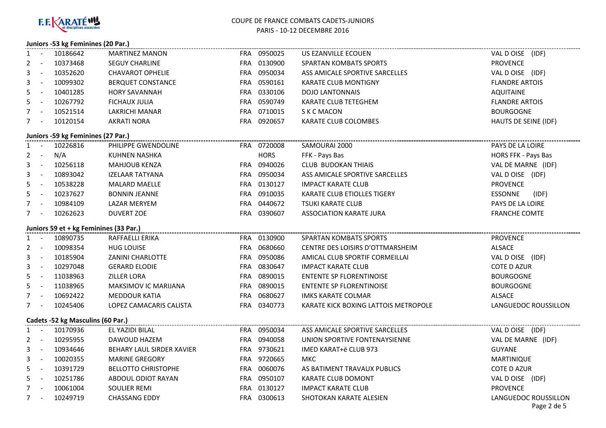

#### **Juniors -53 kg Feminines (20 Par.)**

|                                   |                          | 1 - 10186642                           | <b>MARTINEZ MANON</b>      |  | FRA 0950025 | US EZANVILLE ECOUEN                  | VAL DOISE (IDF)                     |  |
|-----------------------------------|--------------------------|----------------------------------------|----------------------------|--|-------------|--------------------------------------|-------------------------------------|--|
|                                   | $2 -$                    | 10373468                               | <b>SEGUY CHARLINE</b>      |  | FRA 0130900 | <b>SPARTAN KOMBATS SPORTS</b>        | <b>PROVENCE</b>                     |  |
| 3                                 | $\sim$ $\pm$             | 10352620                               | <b>CHAVAROT OPHELIE</b>    |  | FRA 0950034 | ASS AMICALE SPORTIVE SARCELLES       | VAL DOISE (IDF)                     |  |
| 3                                 | $\sim$ $-$               | 10099302                               | BERQUET CONSTANCE          |  | FRA 0590161 | <b>KARATE CLUB MONTIGNY</b>          | <b>FLANDRE ARTOIS</b>               |  |
| 5                                 | $\sim$ $-$               | 10401285                               | <b>HORY SAVANNAH</b>       |  | FRA 0330106 | <b>DOJO LANTONNAIS</b>               | <b>AQUITAINE</b>                    |  |
|                                   | $5 -$                    | 10267792                               | <b>FICHAUX JULIA</b>       |  | FRA 0590749 | KARATE CLUB TETEGHEM                 | <b>FLANDRE ARTOIS</b>               |  |
|                                   | $7 -$                    | 10521514                               | LAKRICHI MANAR             |  | FRA 0710015 | S K C MACON                          | <b>BOURGOGNE</b>                    |  |
| $7 -$                             |                          | 10120154                               | <b>AKRATI NORA</b>         |  | FRA 0920657 | KARATE CLUB COLOMBES                 | HAUTS DE SEINE (IDF)                |  |
|                                   |                          | Juniors -59 kg Feminines (27 Par.)     |                            |  |             |                                      |                                     |  |
|                                   |                          | 1 - 10226816                           | PHILIPPE GWENDOLINE        |  | FRA 0720008 | SAMOURAI 2000                        | PAYS DE LA LOIRE                    |  |
|                                   | $2 - 1$                  | N/A                                    | KUHNEN NASHKA              |  | <b>HORS</b> | FFK - Pays Bas                       | HORS FFK - Pays Bas                 |  |
|                                   | $3 - 1$                  | 10256118                               | <b>MAHJOUB KENZA</b>       |  | FRA 0940026 | <b>CLUB BUDOKAN THIAIS</b>           | VAL DE MARNE (IDF)                  |  |
|                                   | $3 - 1$                  | 10893042                               | <b>IZELAAR TATYANA</b>     |  | FRA 0950034 | ASS AMICALE SPORTIVE SARCELLES       | VAL DOISE (IDF)                     |  |
| 5.                                | $\sim 100$               | 10538228                               | <b>MALARD MAELLE</b>       |  | FRA 0130127 | <b>IMPACT KARATE CLUB</b>            | <b>PROVENCE</b>                     |  |
|                                   | $5 - 1$                  | 10237627                               | <b>BONNIN JEANNE</b>       |  | FRA 0910035 | KARATE CLUB ETIOLLES TIGERY          | ESSONNE<br>(IDF)                    |  |
|                                   | $7 -$                    | 10984109                               | LAZAR MERYEM               |  | FRA 0440672 | <b>TSUKI KARATE CLUB</b>             | PAYS DE LA LOIRE                    |  |
|                                   | $7 -$                    | 10262623                               | <b>DUVERT ZOE</b>          |  | FRA 0390607 | <b>ASSOCIATION KARATE JURA</b>       | <b>FRANCHE COMTE</b>                |  |
|                                   |                          | Juniors 59 et + kg Feminines (33 Par.) |                            |  |             |                                      |                                     |  |
|                                   | $1 -$                    | 10890735                               | RAFFAELLI ERIKA            |  | FRA 0130900 | SPARTAN KOMBATS SPORTS               | <b>PROVENCE</b>                     |  |
| $\mathbf{2}$                      | $\sim 1000$ km s $^{-1}$ | 10098354                               | <b>HUG LOUISE</b>          |  | FRA 0680660 | CENTRE DES LOISIRS D'OTTMARSHEIM     | ALSACE                              |  |
| 3                                 | $\sim 10^{-10}$          | 10185904                               | ZANINI CHARLOTTE           |  | FRA 0950086 | AMICAL CLUB SPORTIF CORMEILLAI       | VAL D OISE (IDF)                    |  |
| 3                                 | $\sim 10^{-1}$           | 10297048                               | <b>GERARD ELODIE</b>       |  | FRA 0830647 | <b>IMPACT KARATE CLUB</b>            | <b>COTE D AZUR</b>                  |  |
| 5                                 | $\sim 100$               | 11038963                               | ZILLER LORA                |  | FRA 0890015 | <b>ENTENTE SP FLORENTINOISE</b>      | <b>BOURGOGNE</b>                    |  |
|                                   | $5 -$                    | 11038965                               | MAKSIMOV IC MARIJANA       |  | FRA 0890015 | <b>ENTENTE SP FLORENTINOISE</b>      | <b>BOURGOGNE</b>                    |  |
| $7 -$                             |                          | 10692422                               | <b>MEDDOUR KATIA</b>       |  | FRA 0680627 | <b>IMKS KARATE COLMAR</b>            | ALSACE                              |  |
|                                   | $7 -$                    | 10245406                               | LOPEZ CAMACARIS CALISTA    |  | FRA 0340773 | KARATE KICK BOXING LATTOIS METROPOLE | LANGUEDOC ROUSSILLON                |  |
| Cadets -52 kg Masculins (60 Par.) |                          |                                        |                            |  |             |                                      |                                     |  |
|                                   |                          | 1 - 10170936                           | EL YAZIDI BILAL            |  | FRA 0950034 | ASS AMICALE SPORTIVE SARCELLES       | VAL D OISE (IDF)                    |  |
|                                   | $2 - 1$                  | 10295955                               | DAWOUD HAZEM               |  | FRA 0940058 | UNION SPORTIVE FONTENAYSIENNE        | VAL DE MARNE (IDF)                  |  |
|                                   | $3 - 1$                  | 10934646                               | BEHARY LAUL SIRDER XAVIER  |  | FRA 9730621 | IMED KARAT+ë CLUB 973                | <b>GUYANE</b>                       |  |
|                                   | $3 - 1$                  | 10020355                               | <b>MARINE GREGORY</b>      |  | FRA 9720665 | MKC                                  | MARTINIQUE                          |  |
|                                   | $5 -$                    | 10391729                               | <b>BELLOTTO CHRISTOPHE</b> |  | FRA 0060076 | AS BATIMENT TRAVAUX PUBLICS          | <b>COTE D AZUR</b>                  |  |
|                                   | $5 -$                    | 10251786                               | ABDOUL ODIOT RAYAN         |  | FRA 0950107 | KARATE CLUB DOMONT                   | VAL D OISE (IDF)                    |  |
|                                   | $7 -$                    | 10061004                               | <b>SOULIER REMI</b>        |  | FRA 0130127 | <b>IMPACT KARATE CLUB</b>            | <b>PROVENCE</b>                     |  |
|                                   | $7 -$                    | 10249719                               | <b>CHASSANG EDDY</b>       |  | FRA 0300613 | SHOTOKAN KARATE ALESIEN              | LANGUEDOC ROUSSILLON<br>Page 2 de 5 |  |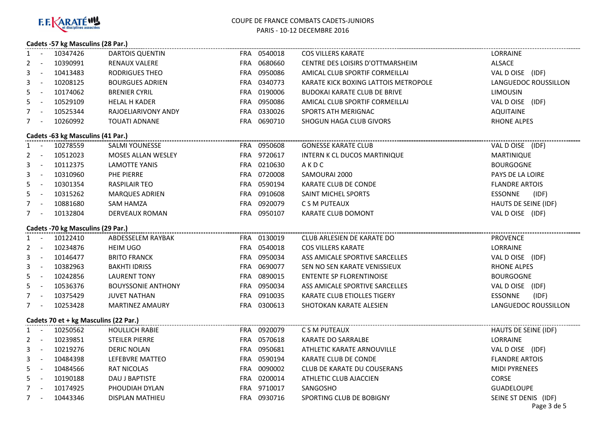

# **Cadets -57 kg Masculins (28 Par.)**

| 1                                     |                 | - 10347426                        | <b>DARTOIS QUENTIN</b>    |  | FRA 0540018 | <b>COS VILLERS KARATE</b>            | LORRAINE              |  |  |
|---------------------------------------|-----------------|-----------------------------------|---------------------------|--|-------------|--------------------------------------|-----------------------|--|--|
| 2                                     | $\sim$ $-$      | 10390991                          | RENAUX VALERE             |  | FRA 0680660 | CENTRE DES LOISIRS D'OTTMARSHEIM     | ALSACE                |  |  |
| 3                                     | $\sim$ $-$      | 10413483                          | RODRIGUES THEO            |  | FRA 0950086 | AMICAL CLUB SPORTIF CORMEILLAI       | VAL DOISE (IDF)       |  |  |
| 3                                     | $\sim$ $-$      | 10208125                          | <b>BOURGUES ADRIEN</b>    |  | FRA 0340773 | KARATE KICK BOXING LATTOIS METROPOLE | LANGUEDOC ROUSSILLON  |  |  |
| 5                                     | $\sim$ $-$      | 10174062                          | <b>BRENIER CYRIL</b>      |  | FRA 0190006 | <b>BUDOKAI KARATE CLUB DE BRIVE</b>  | <b>LIMOUSIN</b>       |  |  |
| 5                                     | $\sim$ $-$      | 10529109                          | <b>HELAL H KADER</b>      |  | FRA 0950086 | AMICAL CLUB SPORTIF CORMEILLAI       | VAL DOISE (IDF)       |  |  |
| $7 -$                                 |                 | 10525344                          | RAJOELIARIVONY ANDY       |  | FRA 0330026 | SPORTS ATH MERIGNAC                  | <b>AQUITAINE</b>      |  |  |
| $7 -$                                 |                 | 10260992                          | <b>TOUATI ADNANE</b>      |  | FRA 0690710 | SHOGUN HAGA CLUB GIVORS              | <b>RHONE ALPES</b>    |  |  |
| Cadets -63 kg Masculins (41 Par.)     |                 |                                   |                           |  |             |                                      |                       |  |  |
|                                       |                 | 1 - 10278559                      | SALMI YOUNESSE            |  | FRA 0950608 | <b>GONESSE KARATE CLUB</b>           | VAL DOISE (IDF)       |  |  |
|                                       |                 | 2 - 10512023                      | <b>MOSES ALLAN WESLEY</b> |  | FRA 9720617 | INTERN K CL DUCOS MARTINIQUE         | <b>MARTINIQUE</b>     |  |  |
| 3                                     |                 | $- 10112375$                      | LAMOTTE YANIS             |  | FRA 0210630 | AKDC                                 | <b>BOURGOGNE</b>      |  |  |
| 3                                     |                 | $- 10310960$                      | PHE PIERRE                |  | FRA 0720008 | SAMOURAI 2000                        | PAYS DE LA LOIRE      |  |  |
| 5                                     | $\sim 10^{-10}$ | 10301354                          | <b>RASPILAIR TEO</b>      |  | FRA 0590194 | KARATE CLUB DE CONDE                 | <b>FLANDRE ARTOIS</b> |  |  |
| 5                                     | $\sim 10^{-10}$ | 10315262                          | <b>MARQUES ADRIEN</b>     |  | FRA 0910608 | SAINT MICHEL SPORTS                  | ESSONNE (IDF)         |  |  |
|                                       | $7 -$           | 10881680                          | SAM HAMZA                 |  | FRA 0920079 | C S M PUTEAUX                        | HAUTS DE SEINE (IDF)  |  |  |
| $7 -$                                 |                 | 10132804                          | DERVEAUX ROMAN            |  | FRA 0950107 | KARATE CLUB DOMONT                   | VAL DOISE (IDF)       |  |  |
|                                       |                 | Cadets -70 kg Masculins (29 Par.) |                           |  |             |                                      |                       |  |  |
|                                       |                 | 1 - 10122410                      | ABDESSELEM RAYBAK         |  | FRA 0130019 | CLUB ARLESIEN DE KARATE DO           | <b>PROVENCE</b>       |  |  |
|                                       |                 | 2 - 10234876                      | <b>HEIM UGO</b>           |  | FRA 0540018 | <b>COS VILLERS KARATE</b>            | LORRAINE              |  |  |
|                                       |                 | 3 - 10146477                      | <b>BRITO FRANCK</b>       |  | FRA 0950034 | ASS AMICALE SPORTIVE SARCELLES       | VAL D OISE (IDF)      |  |  |
|                                       |                 | 3 - 10382963                      | <b>BAKHTI IDRISS</b>      |  | FRA 0690077 | SEN NO SEN KARATE VENISSIEUX         | <b>RHONE ALPES</b>    |  |  |
|                                       |                 | 5 - 10242856                      | LAURENT TONY              |  | FRA 0890015 | ENTENTE SP FLORENTINOISE             | <b>BOURGOGNE</b>      |  |  |
|                                       |                 | 5 - 10536376                      | <b>BOUYSSONIE ANTHONY</b> |  | FRA 0950034 | ASS AMICALE SPORTIVE SARCELLES       | VAL D OISE (IDF)      |  |  |
|                                       |                 | 7 - 10375429                      | <b>JUVET NATHAN</b>       |  | FRA 0910035 | KARATE CLUB ETIOLLES TIGERY          | ESSONNE<br>(IDF)      |  |  |
| $7 -$                                 |                 | 10253428                          | <b>MARTINEZ AMAURY</b>    |  | FRA 0300613 | SHOTOKAN KARATE ALESIEN              | LANGUEDOC ROUSSILLON  |  |  |
| Cadets 70 et + kg Masculins (22 Par.) |                 |                                   |                           |  |             |                                      |                       |  |  |
| 1                                     | $\sim$ $-$      | 10250562                          | <b>HOULLICH RABIE</b>     |  | FRA 0920079 | C S M PUTEAUX                        | HAUTS DE SEINE (IDF)  |  |  |
| 2                                     | $\sim$ $-$      | 10239851                          | STEILER PIERRE            |  | FRA 0570618 | KARATE DO SARRALBE                   | <b>LORRAINE</b>       |  |  |
| 3                                     | $\sim$ $-$      | 10219276                          | <b>DERIC NOLAN</b>        |  | FRA 0950681 | ATHLETIC KARATE ARNOUVILLE           | VAL DOISE (IDF)       |  |  |
| 3                                     | $\sim$ $-$      | 10484398                          | LEFEBVRE MATTEO           |  | FRA 0590194 | KARATE CLUB DE CONDE                 | <b>FLANDRE ARTOIS</b> |  |  |
| 5                                     | $\sim$ $-$      | 10484566                          | <b>RAT NICOLAS</b>        |  | FRA 0090002 | <b>CLUB DE KARATE DU COUSERANS</b>   | <b>MIDI PYRENEES</b>  |  |  |
| $5 -$                                 |                 | 10190188                          | DAU J BAPTISTE            |  | FRA 0200014 | ATHLETIC CLUB AJACCIEN               | <b>CORSE</b>          |  |  |
| $7 -$                                 |                 | 10174925                          | PHOUDIAH DYLAN            |  | FRA 9710017 | SANGOSHO                             | <b>GUADELOUPE</b>     |  |  |
|                                       |                 | 7 - 10443346                      | <b>DISPLAN MATHIEU</b>    |  | FRA 0930716 | SPORTING CLUB DE BOBIGNY             | SEINE ST DENIS (IDF)  |  |  |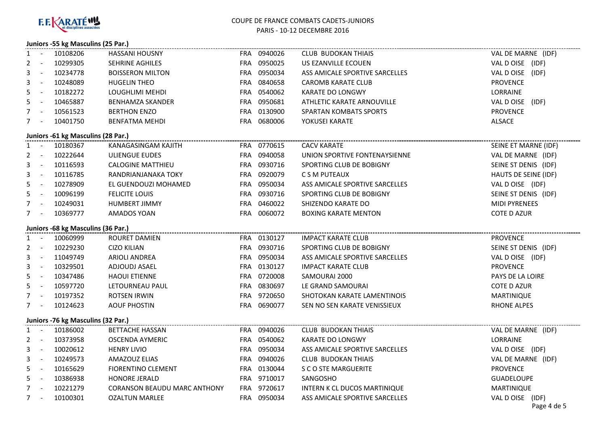

# **Juniors -55 kg Masculins (25 Par.)**

|                                    |                 | 1 - 10108206                       | HASSANI HOUSNY                      |  | FRA 0940026 | CLUB BUDOKAN THIAIS            | VAL DE MARNE (IDF)             |  |  |
|------------------------------------|-----------------|------------------------------------|-------------------------------------|--|-------------|--------------------------------|--------------------------------|--|--|
| 2                                  | $\sim$ $-$      | 10299305                           | SEHRINE AGHILES                     |  | FRA 0950025 | US EZANVILLE ECOUEN            | VAL DOISE (IDF)                |  |  |
|                                    | $\sim 10^{-10}$ | 10234778                           | <b>BOISSERON MILTON</b>             |  | FRA 0950034 | ASS AMICALE SPORTIVE SARCELLES | VAL D OISE (IDF)               |  |  |
| 3                                  | $\sim$ $-$      | 10248089                           | <b>HUGELIN THEO</b>                 |  | FRA 0840658 | <b>CAROMB KARATE CLUB</b>      | <b>PROVENCE</b>                |  |  |
| 5.                                 | $\sim$ $-$      | 10182272                           | LOUGHLIMI MEHDI                     |  | FRA 0540062 | KARATE DO LONGWY               | LORRAINE                       |  |  |
| 5                                  | $\sim$ $-$      | 10465887                           | <b>BENHAMZA SKANDER</b>             |  | FRA 0950681 | ATHLETIC KARATE ARNOUVILLE     | VAL DOISE (IDF)                |  |  |
|                                    | $7 -$           | 10561523                           | <b>BERTHON ENZO</b>                 |  | FRA 0130900 | <b>SPARTAN KOMBATS SPORTS</b>  | <b>PROVENCE</b>                |  |  |
|                                    | $7 -$           | 10401750                           | <b>BENFATMA MEHDI</b>               |  | FRA 0680006 | YOKUSEI KARATE                 | ALSACE                         |  |  |
| Juniors -61 kg Masculins (28 Par.) |                 |                                    |                                     |  |             |                                |                                |  |  |
|                                    |                 | 1 - 10180367                       | KANAGASINGAM KAJITH                 |  | FRA 0770615 | <b>CACV KARATE</b>             | SEINE ET MARNE (IDF)           |  |  |
|                                    |                 | 2 - 10222644                       | ULIENGUE EUDES                      |  | FRA 0940058 | UNION SPORTIVE FONTENAYSIENNE  | VAL DE MARNE (IDF)             |  |  |
| 3                                  | $\sim 100$      | 10116593                           | <b>CALOGINE MATTHIEU</b>            |  | FRA 0930716 | SPORTING CLUB DE BOBIGNY       | SEINE ST DENIS (IDF)           |  |  |
| 3                                  | $\sim 100$      | 10116785                           | RANDRIANJANAKA TOKY                 |  | FRA 0920079 | C S M PUTEAUX                  | HAUTS DE SEINE (IDF)           |  |  |
| 5.                                 | $\sim$ $\pm$    | 10278909                           | EL GUENDOUZI MOHAMED                |  | FRA 0950034 | ASS AMICALE SPORTIVE SARCELLES | VAL D OISE (IDF)               |  |  |
|                                    | $5 -$           | 10096199                           | <b>FELICITE LOUIS</b>               |  | FRA 0930716 | SPORTING CLUB DE BOBIGNY       | SEINE ST DENIS (IDF)           |  |  |
|                                    | $7 -$           | 10249031                           | <b>HUMBERT JIMMY</b>                |  | FRA 0460022 | SHIZENDO KARATE DO             | <b>MIDI PYRENEES</b>           |  |  |
|                                    | $7 -$           | 10369777                           | AMADOS YOAN                         |  | FRA 0060072 | <b>BOXING KARATE MENTON</b>    | COTE D AZUR                    |  |  |
|                                    |                 | Juniors -68 kg Masculins (36 Par.) |                                     |  |             |                                |                                |  |  |
|                                    | $1 -$           | 10060999                           | ROURET DAMIEN                       |  | FRA 0130127 | <b>IMPACT KARATE CLUB</b>      | <b>PROVENCE</b>                |  |  |
|                                    |                 | 2 - 10229230                       | <b>CIZO KILIAN</b>                  |  | FRA 0930716 | SPORTING CLUB DE BOBIGNY       | SEINE ST DENIS (IDF)           |  |  |
| 3                                  | $\sim 100$      | 11049749                           | <b>ARIOLI ANDREA</b>                |  | FRA 0950034 | ASS AMICALE SPORTIVE SARCELLES | VAL DOISE (IDF)                |  |  |
| 3                                  | $\sim 10$       | 10329501                           | ADJOUDJ ASAEL                       |  | FRA 0130127 | <b>IMPACT KARATE CLUB</b>      | <b>PROVENCE</b>                |  |  |
| 5.                                 | $\sim$ $\sim$   | 10347486                           | <b>HAOUI ETIENNE</b>                |  | FRA 0720008 | SAMOURAI 2000                  | PAYS DE LA LOIRE               |  |  |
|                                    | $5 -$           | 10597720                           | LETOURNEAU PAUL                     |  | FRA 0830697 | LE GRAND SAMOURAI              | COTE D AZUR                    |  |  |
|                                    | $7 -$           | 10197352                           | ROTSEN IRWIN                        |  | FRA 9720650 | SHOTOKAN KARATE LAMENTINOIS    | <b>MARTINIQUE</b>              |  |  |
|                                    | $7 -$           | 10124623                           | <b>AOUF PHOSTIN</b>                 |  | FRA 0690077 | SEN NO SEN KARATE VENISSIEUX   | <b>RHONE ALPES</b>             |  |  |
| Juniors -76 kg Masculins (32 Par.) |                 |                                    |                                     |  |             |                                |                                |  |  |
|                                    | $1 -$           | 10186002                           | <b>BETTACHE HASSAN</b>              |  | FRA 0940026 | <b>CLUB BUDOKAN THIAIS</b>     | VAL DE MARNE (IDF)             |  |  |
|                                    | $2 - 1$         | 10373958                           | OSCENDA AYMERIC                     |  | FRA 0540062 | KARATE DO LONGWY               | LORRAINE                       |  |  |
| 3                                  | $\sim$ $-$      | 10020612                           | <b>HENRY LIVIO</b>                  |  | FRA 0950034 | ASS AMICALE SPORTIVE SARCELLES | VAL D OISE (IDF)               |  |  |
|                                    | $3 - -$         | 10249573                           | AMAZOUZ ELIAS                       |  | FRA 0940026 | CLUB BUDOKAN THIAIS            | VAL DE MARNE (IDF)             |  |  |
|                                    | $5 -$           | 10165629                           | <b>FIORENTINO CLEMENT</b>           |  | FRA 0130044 | S C O STE MARGUERITE           | <b>PROVENCE</b>                |  |  |
|                                    | $5 -$           | 10386938                           | <b>HONORE JERALD</b>                |  | FRA 9710017 | SANGOSHO                       | <b>GUADELOUPE</b>              |  |  |
|                                    | $7 -$           | 10221279                           | <b>CORANSON BEAUDU MARC ANTHONY</b> |  | FRA 9720617 | INTERN K CL DUCOS MARTINIQUE   | <b>MARTINIQUE</b>              |  |  |
|                                    | $7 -$           | 10100301                           | <b>OZALTUN MARLEE</b>               |  | FRA 0950034 | ASS AMICALE SPORTIVE SARCELLES | VAL DOISE (IDF)<br>Page 4 de 5 |  |  |